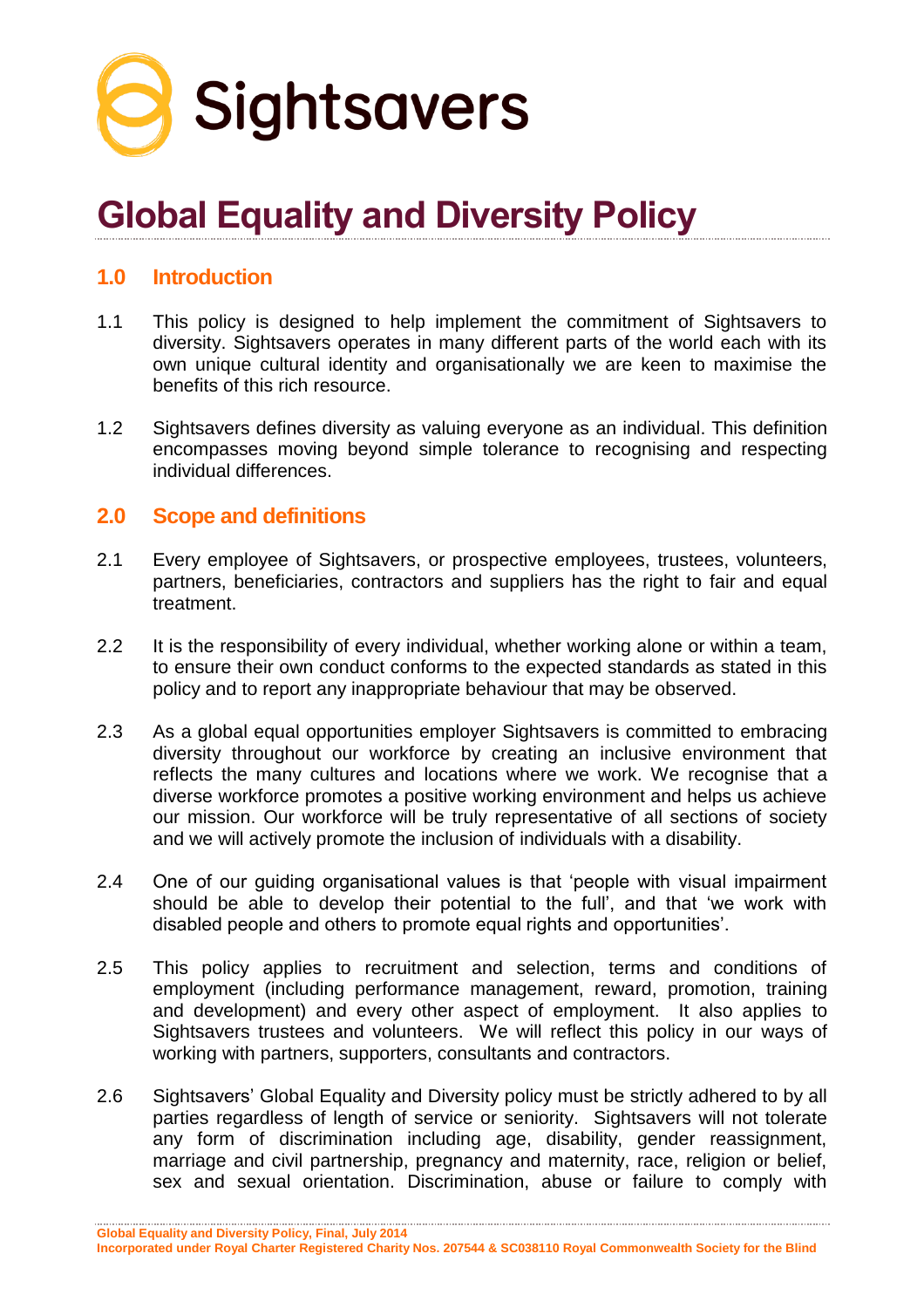

# **Global Equality and Diversity Policy**

### **1.0 Introduction**

- 1.1 This policy is designed to help implement the commitment of Sightsavers to diversity. Sightsavers operates in many different parts of the world each with its own unique cultural identity and organisationally we are keen to maximise the benefits of this rich resource.
- 1.2 Sightsavers defines diversity as valuing everyone as an individual. This definition encompasses moving beyond simple tolerance to recognising and respecting individual differences.

### **2.0 Scope and definitions**

- 2.1 Every employee of Sightsavers, or prospective employees, trustees, volunteers, partners, beneficiaries, contractors and suppliers has the right to fair and equal treatment.
- 2.2 It is the responsibility of every individual, whether working alone or within a team, to ensure their own conduct conforms to the expected standards as stated in this policy and to report any inappropriate behaviour that may be observed.
- 2.3 As a global equal opportunities employer Sightsavers is committed to embracing diversity throughout our workforce by creating an inclusive environment that reflects the many cultures and locations where we work. We recognise that a diverse workforce promotes a positive working environment and helps us achieve our mission. Our workforce will be truly representative of all sections of society and we will actively promote the inclusion of individuals with a disability.
- 2.4 One of our guiding organisational values is that 'people with visual impairment should be able to develop their potential to the full', and that 'we work with disabled people and others to promote equal rights and opportunities'.
- 2.5 This policy applies to recruitment and selection, terms and conditions of employment (including performance management, reward, promotion, training and development) and every other aspect of employment. It also applies to Sightsavers trustees and volunteers. We will reflect this policy in our ways of working with partners, supporters, consultants and contractors.
- 2.6 Sightsavers' Global Equality and Diversity policy must be strictly adhered to by all parties regardless of length of service or seniority. Sightsavers will not tolerate any form of discrimination including age, disability, gender reassignment, marriage and civil partnership, pregnancy and maternity, race, religion or belief, sex and sexual orientation. Discrimination, abuse or failure to comply with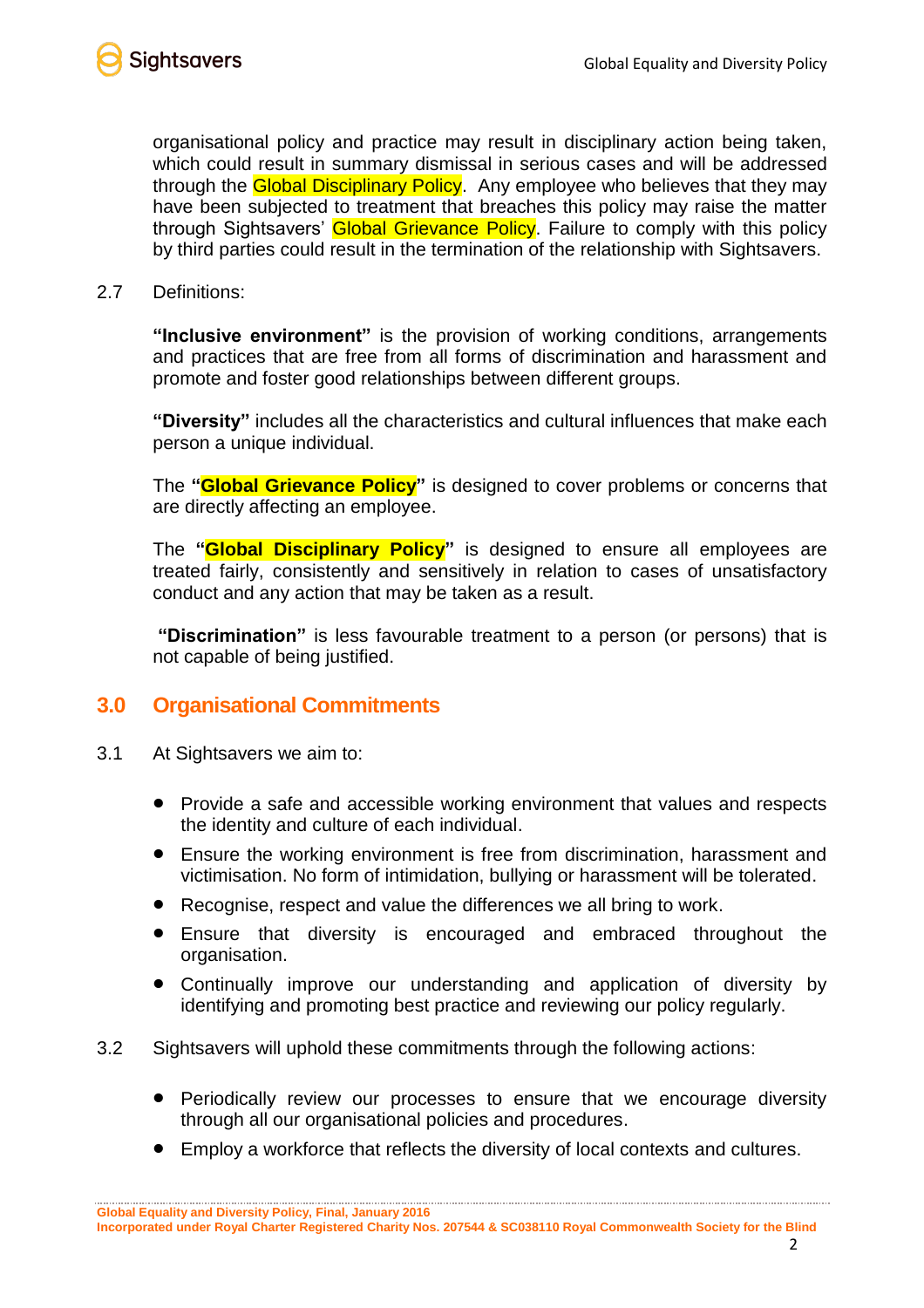

organisational policy and practice may result in disciplinary action being taken, which could result in summary dismissal in serious cases and will be addressed through the **Global Disciplinary Policy**. Any employee who believes that they may have been subjected to treatment that breaches this policy may raise the matter through Sightsavers' Global Grievance Policy. Failure to comply with this policy by third parties could result in the termination of the relationship with Sightsavers.

2.7 Definitions:

**"Inclusive environment"** is the provision of working conditions, arrangements and practices that are free from all forms of discrimination and harassment and promote and foster good relationships between different groups.

**"Diversity"** includes all the characteristics and cultural influences that make each person a unique individual.

The **"Global Grievance Policy"** is designed to cover problems or concerns that are directly affecting an employee.

The **"Global Disciplinary Policy"** is designed to ensure all employees are treated fairly, consistently and sensitively in relation to cases of unsatisfactory conduct and any action that may be taken as a result.

**"Discrimination"** is less favourable treatment to a person (or persons) that is not capable of being justified.

#### **3.0 Organisational Commitments**

- 3.1 At Sightsavers we aim to:
	- Provide a safe and accessible working environment that values and respects the identity and culture of each individual.
	- Ensure the working environment is free from discrimination, harassment and victimisation. No form of intimidation, bullying or harassment will be tolerated.
	- Recognise, respect and value the differences we all bring to work.
	- Ensure that diversity is encouraged and embraced throughout the organisation.
	- Continually improve our understanding and application of diversity by identifying and promoting best practice and reviewing our policy regularly.
- 3.2 Sightsavers will uphold these commitments through the following actions:
	- Periodically review our processes to ensure that we encourage diversity through all our organisational policies and procedures.
	- Employ a workforce that reflects the diversity of local contexts and cultures.

**Global Equality and Diversity Policy, Final, January 2016**